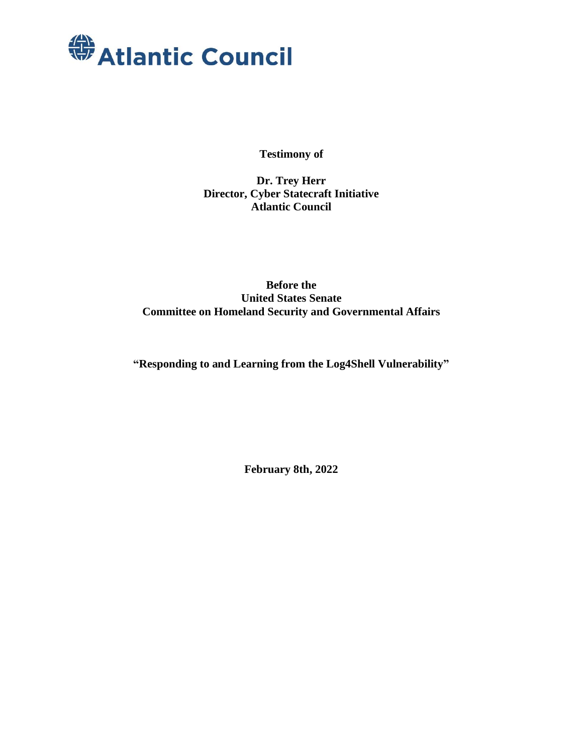

**Testimony of**

**Dr. Trey Herr Director, Cyber Statecraft Initiative Atlantic Council**

**Before the United States Senate Committee on Homeland Security and Governmental Affairs**

**"Responding to and Learning from the Log4Shell Vulnerability"**

**February 8th, 2022**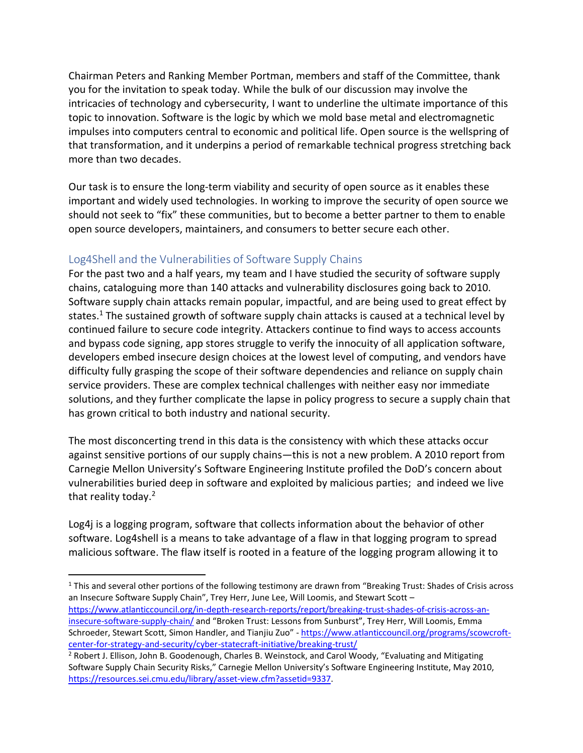Chairman Peters and Ranking Member Portman, members and staff of the Committee, thank you for the invitation to speak today. While the bulk of our discussion may involve the intricacies of technology and cybersecurity, I want to underline the ultimate importance of this topic to innovation. Software is the logic by which we mold base metal and electromagnetic impulses into computers central to economic and political life. Open source is the wellspring of that transformation, and it underpins a period of remarkable technical progress stretching back more than two decades.

Our task is to ensure the long-term viability and security of open source as it enables these important and widely used technologies. In working to improve the security of open source we should not seek to "fix" these communities, but to become a better partner to them to enable open source developers, maintainers, and consumers to better secure each other.

## Log4Shell and the Vulnerabilities of Software Supply Chains

For the past two and a half years, my team and I have studied the security of software supply chains, cataloguing more than 140 attacks and vulnerability disclosures going back to 2010. Software supply chain attacks remain popular, impactful, and are being used to great effect by states.<sup>1</sup> The sustained growth of software supply chain attacks is caused at a technical level by continued failure to secure code integrity. Attackers continue to find ways to access accounts and bypass code signing, app stores struggle to verify the innocuity of all application software, developers embed insecure design choices at the lowest level of computing, and vendors have difficulty fully grasping the scope of their software dependencies and reliance on supply chain service providers. These are complex technical challenges with neither easy nor immediate solutions, and they further complicate the lapse in policy progress to secure a supply chain that has grown critical to both industry and national security.

The most disconcerting trend in this data is the consistency with which these attacks occur against sensitive portions of our supply chains—this is not a new problem. A 2010 report from Carnegie Mellon University's Software Engineering Institute profiled the DoD's concern about vulnerabilities buried deep in software and exploited by malicious parties; and indeed we live that reality today.<sup>2</sup>

Log4j is a logging program, software that collects information about the behavior of other software. Log4shell is a means to take advantage of a flaw in that logging program to spread malicious software. The flaw itself is rooted in a feature of the logging program allowing it to

<sup>1</sup> This and several other portions of the following testimony are drawn from "Breaking Trust: Shades of Crisis across an Insecure Software Supply Chain", Trey Herr, June Lee, Will Loomis, and Stewart Scott – [https://www.atlanticcouncil.org/in-depth-research-reports/report/breaking-trust-shades-of-crisis-across-an](https://www.atlanticcouncil.org/in-depth-research-reports/report/breaking-trust-shades-of-crisis-across-an-insecure-software-supply-chain/)[insecure-software-supply-chain/](https://www.atlanticcouncil.org/in-depth-research-reports/report/breaking-trust-shades-of-crisis-across-an-insecure-software-supply-chain/) and "Broken Trust: Lessons from Sunburst", Trey Herr, Will Loomis, Emma Schroeder, Stewart Scott, Simon Handler, and Tianjiu Zuo" - [https://www.atlanticcouncil.org/programs/scowcroft](https://www.atlanticcouncil.org/programs/scowcroft-center-for-strategy-and-security/cyber-statecraft-initiative/breaking-trust/)[center-for-strategy-and-security/cyber-statecraft-initiative/breaking-trust/](https://www.atlanticcouncil.org/programs/scowcroft-center-for-strategy-and-security/cyber-statecraft-initiative/breaking-trust/)

<sup>2</sup> Robert J. Ellison, John B. Goodenough, Charles B. Weinstock, and Carol Woody, "Evaluating and Mitigating Software Supply Chain Security Risks," Carnegie Mellon University's Software Engineering Institute, May 2010, [https://resources.sei.cmu.edu/library/asset-view.cfm?assetid=9337.](https://resources.sei.cmu.edu/library/asset-view.cfm?assetid=9337)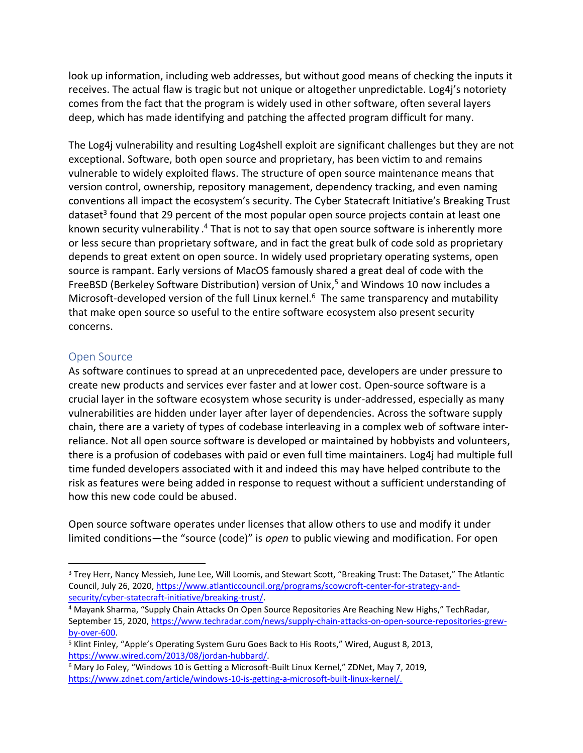look up information, including web addresses, but without good means of checking the inputs it receives. The actual flaw is tragic but not unique or altogether unpredictable. Log4j's notoriety comes from the fact that the program is widely used in other software, often several layers deep, which has made identifying and patching the affected program difficult for many.

The Log4j vulnerability and resulting Log4shell exploit are significant challenges but they are not exceptional. Software, both open source and proprietary, has been victim to and remains vulnerable to widely exploited flaws. The structure of open source maintenance means that version control, ownership, repository management, dependency tracking, and even naming conventions all impact the ecosystem's security. The Cyber Statecraft Initiative's Breaking Trust dataset<sup>3</sup> found that 29 percent of the most popular open source projects contain at least one known security vulnerability .<sup>4</sup> That is not to say that open source software is inherently more or less secure than proprietary software, and in fact the great bulk of code sold as proprietary depends to great extent on open source. In widely used proprietary operating systems, open source is rampant. Early versions of MacOS famously shared a great deal of code with the FreeBSD (Berkeley Software Distribution) version of Unix,<sup>5</sup> and Windows 10 now includes a Microsoft-developed version of the full Linux kernel.<sup>6</sup> The same transparency and mutability that make open source so useful to the entire software ecosystem also present security concerns.

#### Open Source

As software continues to spread at an unprecedented pace, developers are under pressure to create new products and services ever faster and at lower cost. Open-source software is a crucial layer in the software ecosystem whose security is under-addressed, especially as many vulnerabilities are hidden under layer after layer of dependencies. Across the software supply chain, there are a variety of types of codebase interleaving in a complex web of software interreliance. Not all open source software is developed or maintained by hobbyists and volunteers, there is a profusion of codebases with paid or even full time maintainers. Log4j had multiple full time funded developers associated with it and indeed this may have helped contribute to the risk as features were being added in response to request without a sufficient understanding of how this new code could be abused.

Open source software operates under licenses that allow others to use and modify it under limited conditions—the "source (code)" is *open* to public viewing and modification. For open

<sup>3</sup> Trey Herr, Nancy Messieh, June Lee, Will Loomis, and Stewart Scott, "Breaking Trust: The Dataset," The Atlantic Council, July 26, 2020, [https://www.atlanticcouncil.org/programs/scowcroft-center-for-strategy-and](https://www.atlanticcouncil.org/programs/scowcroft-center-for-strategy-and-security/cyber-statecraft-initiative/breaking-trust/)[security/cyber-statecraft-initiative/breaking-trust/.](https://www.atlanticcouncil.org/programs/scowcroft-center-for-strategy-and-security/cyber-statecraft-initiative/breaking-trust/)

<sup>4</sup> Mayank Sharma, "Supply Chain Attacks On Open Source Repositories Are Reaching New Highs," TechRadar, September 15, 2020, [https://www.techradar.com/news/supply-chain-attacks-on-open-source-repositories-grew](https://www.techradar.com/news/supply-chain-attacks-on-open-source-repositories-grew-by-over-600)[by-over-600.](https://www.techradar.com/news/supply-chain-attacks-on-open-source-repositories-grew-by-over-600)

<sup>5</sup> Klint Finley, "Apple's Operating System Guru Goes Back to His Roots," Wired, August 8, 2013, [https://www.wired.com/2013/08/jordan-hubbard/.](https://www.wired.com/2013/08/jordan-hubbard/)

<sup>6</sup> Mary Jo Foley, "Windows 10 is Getting a Microsoft-Built Linux Kernel," ZDNet, May 7, 2019, [https://www.zdnet.com/article/windows-10-is-getting-a-microsoft-built-linux-kernel/.](https://www.zdnet.com/article/windows-10-is-getting-a-microsoft-built-linux-kernel/)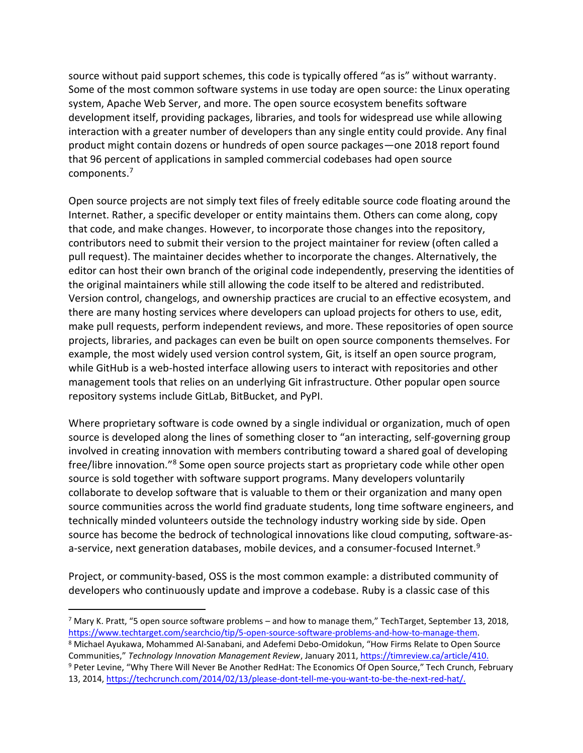source without paid support schemes, this code is typically offered "as is" without warranty. Some of the most common software systems in use today are open source: the Linux operating system, Apache Web Server, and more. The open source ecosystem benefits software development itself, providing packages, libraries, and tools for widespread use while allowing interaction with a greater number of developers than any single entity could provide. Any final product might contain dozens or hundreds of open source packages—one 2018 report found that 96 percent of applications in sampled commercial codebases had open source components. 7

Open source projects are not simply text files of freely editable source code floating around the Internet. Rather, a specific developer or entity maintains them. Others can come along, copy that code, and make changes. However, to incorporate those changes into the repository, contributors need to submit their version to the project maintainer for review (often called a pull request). The maintainer decides whether to incorporate the changes. Alternatively, the editor can host their own branch of the original code independently, preserving the identities of the original maintainers while still allowing the code itself to be altered and redistributed. Version control, changelogs, and ownership practices are crucial to an effective ecosystem, and there are many hosting services where developers can upload projects for others to use, edit, make pull requests, perform independent reviews, and more. These repositories of open source projects, libraries, and packages can even be built on open source components themselves. For example, the most widely used version control system, Git, is itself an open source program, while GitHub is a web-hosted interface allowing users to interact with repositories and other management tools that relies on an underlying Git infrastructure. Other popular open source repository systems include GitLab, BitBucket, and PyPI.

Where proprietary software is code owned by a single individual or organization, much of open source is developed along the lines of something closer to "an interacting, self-governing group involved in creating innovation with members contributing toward a shared goal of developing free/libre innovation."<sup>8</sup> Some open source projects start as proprietary code while other open source is sold together with software support programs. Many developers voluntarily collaborate to develop software that is valuable to them or their organization and many open source communities across the world find graduate students, long time software engineers, and technically minded volunteers outside the technology industry working side by side. Open source has become the bedrock of technological innovations like cloud computing, software-asa-service, next generation databases, mobile devices, and a consumer-focused Internet.<sup>9</sup>

Project, or community-based, OSS is the most common example: a distributed community of developers who continuously update and improve a codebase. Ruby is a classic case of this

 $7$  Mary K. Pratt, "5 open source software problems – and how to manage them," TechTarget, September 13, 2018, [https://www.techtarget.com/searchcio/tip/5-open-source-software-problems-and-how-to-manage-them.](https://www.techtarget.com/searchcio/tip/5-open-source-software-problems-and-how-to-manage-them)

<sup>8</sup> Michael Ayukawa, Mohammed Al-Sanabani, and Adefemi Debo-Omidokun, "How Firms Relate to Open Source Communities," *Technology Innovation Management Review*, January 2011[, https://timreview.ca/article/410.](https://timreview.ca/article/410) <sup>9</sup> Peter Levine, "Why There Will Never Be Another RedHat: The Economics Of Open Source," Tech Crunch, February 13, 2014, [https://techcrunch.com/2014/02/13/please-dont-tell-me-you-want-to-be-the-next-red-hat/.](https://techcrunch.com/2014/02/13/please-dont-tell-me-you-want-to-be-the-next-red-hat/)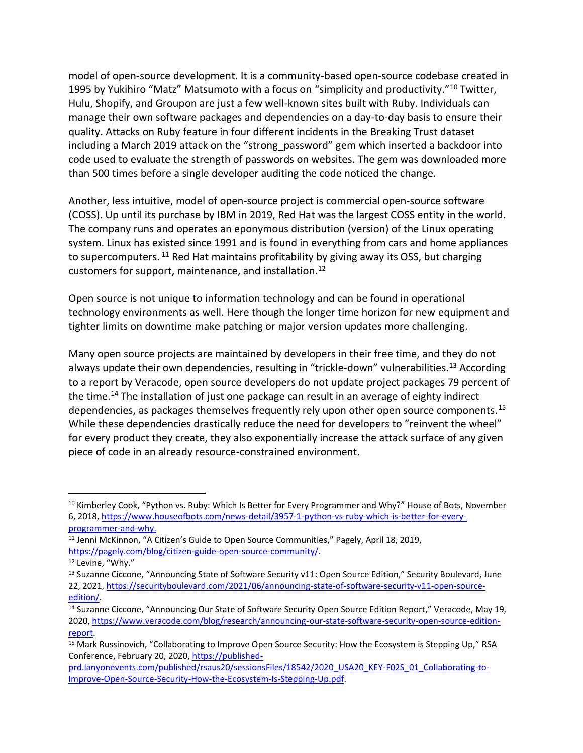model of open-source development. It is a community-based open-source codebase created in 1995 by Yukihiro "Matz" Matsumoto with a focus on "simplicity and productivity."<sup>10</sup> Twitter, Hulu, Shopify, and Groupon are just a few well-known sites built with Ruby. Individuals can manage their own software packages and dependencies on a day-to-day basis to ensure their quality. Attacks on Ruby feature in four different incidents in the Breaking Trust dataset including a March 2019 attack on the "strong password" gem which inserted a backdoor into code used to evaluate the strength of passwords on websites. The gem was downloaded more than 500 times before a single developer auditing the code noticed the change.

Another, less intuitive, model of open-source project is commercial open-source software (COSS). Up until its purchase by IBM in 2019, Red Hat was the largest COSS entity in the world. The company runs and operates an eponymous distribution (version) of the Linux operating system. Linux has existed since 1991 and is found in everything from cars and home appliances to supercomputers.  $11$  Red Hat maintains profitability by giving away its OSS, but charging customers for support, maintenance, and installation.<sup>12</sup>

Open source is not unique to information technology and can be found in operational technology environments as well. Here though the longer time horizon for new equipment and tighter limits on downtime make patching or major version updates more challenging.

Many open source projects are maintained by developers in their free time, and they do not always update their own dependencies, resulting in "trickle-down" vulnerabilities.<sup>13</sup> According to a report by Veracode, open source developers do not update project packages 79 percent of the time.<sup>14</sup> The installation of just one package can result in an average of eighty indirect dependencies, as packages themselves frequently rely upon other open source components.<sup>15</sup> While these dependencies drastically reduce the need for developers to "reinvent the wheel" for every product they create, they also exponentially increase the attack surface of any given piece of code in an already resource-constrained environment.

<sup>&</sup>lt;sup>10</sup> Kimberley Cook, "Python vs. Ruby: Which Is Better for Every Programmer and Why?" House of Bots, November 6, 2018, [https://www.houseofbots.com/news-detail/3957-1-python-vs-ruby-which-is-better-for-every](https://www.houseofbots.com/news-detail/3957-1-python-vs-ruby-which-is-better-for-every-programmer-and-why)[programmer-and-why.](https://www.houseofbots.com/news-detail/3957-1-python-vs-ruby-which-is-better-for-every-programmer-and-why)

<sup>&</sup>lt;sup>11</sup> Jenni McKinnon, "A Citizen's Guide to Open Source Communities," Pagely, April 18, 2019, [https://pagely.com/blog/citizen-guide-open-source-community/.](https://pagely.com/blog/citizen-guide-open-source-community/) 

<sup>&</sup>lt;sup>12</sup> Levine, "Why."

<sup>&</sup>lt;sup>13</sup> Suzanne Ciccone, "Announcing State of Software Security v11: Open Source Edition," Security Boulevard, June 22, 2021, [https://securityboulevard.com/2021/06/announcing-state-of-software-security-v11-open-source](https://securityboulevard.com/2021/06/announcing-state-of-software-security-v11-open-source-edition/)[edition/.](https://securityboulevard.com/2021/06/announcing-state-of-software-security-v11-open-source-edition/)

<sup>14</sup> Suzanne Ciccone, "Announcing Our State of Software Security Open Source Edition Report," Veracode, May 19, 2020, [https://www.veracode.com/blog/research/announcing-our-state-software-security-open-source-edition](https://www.veracode.com/blog/research/announcing-our-state-software-security-open-source-edition-report)[report.](https://www.veracode.com/blog/research/announcing-our-state-software-security-open-source-edition-report)

<sup>15</sup> Mark Russinovich, "Collaborating to Improve Open Source Security: How the Ecosystem is Stepping Up," RSA Conference, February 20, 2020, [https://published-](https://published-prd.lanyonevents.com/published/rsaus20/sessionsFiles/18542/2020_USA20_KEY-F02S_01_Collaborating-to-Improve-Open-Source-Security-How-the-Ecosystem-Is-Stepping-Up.pdf)

[prd.lanyonevents.com/published/rsaus20/sessionsFiles/18542/2020\\_USA20\\_KEY-F02S\\_01\\_Collaborating-to-](https://published-prd.lanyonevents.com/published/rsaus20/sessionsFiles/18542/2020_USA20_KEY-F02S_01_Collaborating-to-Improve-Open-Source-Security-How-the-Ecosystem-Is-Stepping-Up.pdf)[Improve-Open-Source-Security-How-the-Ecosystem-Is-Stepping-Up.pdf.](https://published-prd.lanyonevents.com/published/rsaus20/sessionsFiles/18542/2020_USA20_KEY-F02S_01_Collaborating-to-Improve-Open-Source-Security-How-the-Ecosystem-Is-Stepping-Up.pdf)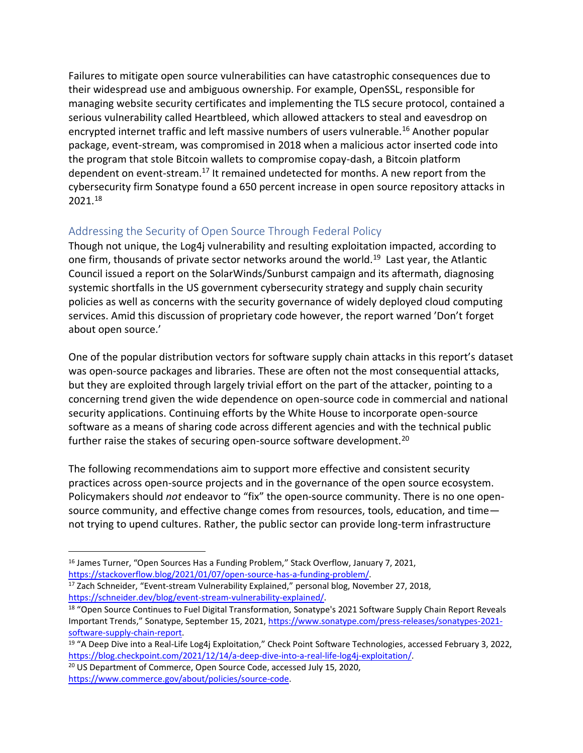Failures to mitigate open source vulnerabilities can have catastrophic consequences due to their widespread use and ambiguous ownership. For example, OpenSSL, responsible for managing website security certificates and implementing the TLS secure protocol, contained a serious vulnerability called Heartbleed, which allowed attackers to steal and eavesdrop on encrypted internet traffic and left massive numbers of users vulnerable.<sup>16</sup> Another popular package, event-stream, was compromised in 2018 when a malicious actor inserted code into the program that stole Bitcoin wallets to compromise copay-dash, a Bitcoin platform dependent on event-stream.<sup>17</sup> It remained undetected for months. A new report from the cybersecurity firm Sonatype found a 650 percent increase in open source repository attacks in 2021.<sup>18</sup>

# Addressing the Security of Open Source Through Federal Policy

Though not unique, the Log4j vulnerability and resulting exploitation impacted, according to one firm, thousands of private sector networks around the world.<sup>19</sup> Last year, the Atlantic Council issued a report on the SolarWinds/Sunburst campaign and its aftermath, diagnosing systemic shortfalls in the US government cybersecurity strategy and supply chain security policies as well as concerns with the security governance of widely deployed cloud computing services. Amid this discussion of proprietary code however, the report warned 'Don't forget about open source.'

One of the popular distribution vectors for software supply chain attacks in this report's dataset was open-source packages and libraries. These are often not the most consequential attacks, but they are exploited through largely trivial effort on the part of the attacker, pointing to a concerning trend given the wide dependence on open-source code in commercial and national security applications. Continuing efforts by the White House to incorporate open-source software as a means of sharing code across different agencies and with the technical public further raise the stakes of securing open-source software development.<sup>20</sup>

The following recommendations aim to support more effective and consistent security practices across open-source projects and in the governance of the open source ecosystem. Policymakers should *not* endeavor to "fix" the open-source community. There is no one opensource community, and effective change comes from resources, tools, education, and time not trying to upend cultures. Rather, the public sector can provide long-term infrastructure

<sup>17</sup> Zach Schneider, "Event-stream Vulnerability Explained," personal blog, November 27, 2018, [https://schneider.dev/blog/event-stream-vulnerability-explained/.](https://schneider.dev/blog/event-stream-vulnerability-explained/)

<sup>20</sup> US Department of Commerce, Open Source Code, accessed July 15, 2020, [https://www.commerce.gov/about/policies/source-code.](https://www.commerce.gov/about/policies/source-code)

<sup>&</sup>lt;sup>16</sup> James Turner, "Open Sources Has a Funding Problem," Stack Overflow, January 7, 2021, [https://stackoverflow.blog/2021/01/07/open-source-has-a-funding-problem/.](https://stackoverflow.blog/2021/01/07/open-source-has-a-funding-problem/)

<sup>&</sup>lt;sup>18</sup> "Open Source Continues to Fuel Digital Transformation, Sonatype's 2021 Software Supply Chain Report Reveals Important Trends," Sonatype, September 15, 2021, [https://www.sonatype.com/press-releases/sonatypes-2021](https://www.sonatype.com/press-releases/sonatypes-2021-software-supply-chain-report) [software-supply-chain-report.](https://www.sonatype.com/press-releases/sonatypes-2021-software-supply-chain-report)

<sup>&</sup>lt;sup>19</sup> "A Deep Dive into a Real-Life Log4j Exploitation," Check Point Software Technologies, accessed February 3, 2022, [https://blog.checkpoint.com/2021/12/14/a-deep-dive-into-a-real-life-log4j-exploitation/.](https://blog.checkpoint.com/2021/12/14/a-deep-dive-into-a-real-life-log4j-exploitation/)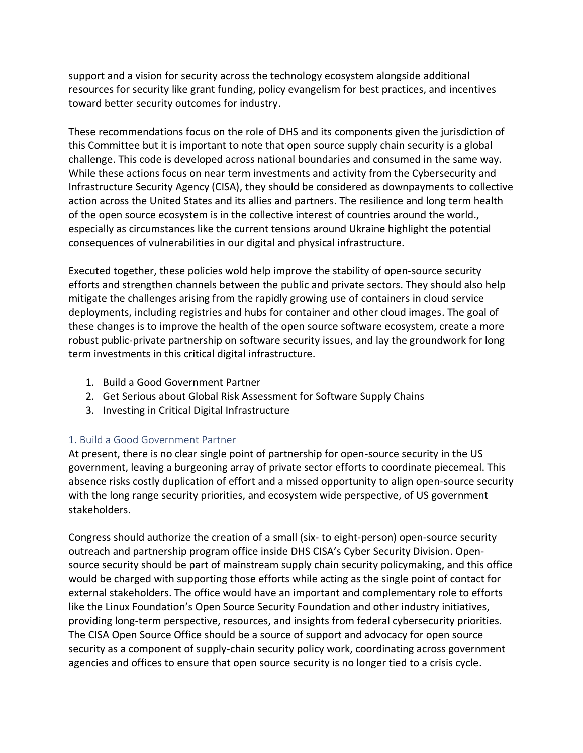support and a vision for security across the technology ecosystem alongside additional resources for security like grant funding, policy evangelism for best practices, and incentives toward better security outcomes for industry.

These recommendations focus on the role of DHS and its components given the jurisdiction of this Committee but it is important to note that open source supply chain security is a global challenge. This code is developed across national boundaries and consumed in the same way. While these actions focus on near term investments and activity from the Cybersecurity and Infrastructure Security Agency (CISA), they should be considered as downpayments to collective action across the United States and its allies and partners. The resilience and long term health of the open source ecosystem is in the collective interest of countries around the world., especially as circumstances like the current tensions around Ukraine highlight the potential consequences of vulnerabilities in our digital and physical infrastructure.

Executed together, these policies wold help improve the stability of open-source security efforts and strengthen channels between the public and private sectors. They should also help mitigate the challenges arising from the rapidly growing use of containers in cloud service deployments, including registries and hubs for container and other cloud images. The goal of these changes is to improve the health of the open source software ecosystem, create a more robust public-private partnership on software security issues, and lay the groundwork for long term investments in this critical digital infrastructure.

- 1. Build a Good Government Partner
- 2. Get Serious about Global Risk Assessment for Software Supply Chains
- 3. Investing in Critical Digital Infrastructure

### 1. Build a Good Government Partner

At present, there is no clear single point of partnership for open-source security in the US government, leaving a burgeoning array of private sector efforts to coordinate piecemeal. This absence risks costly duplication of effort and a missed opportunity to align open-source security with the long range security priorities, and ecosystem wide perspective, of US government stakeholders.

Congress should authorize the creation of a small (six- to eight-person) open-source security outreach and partnership program office inside DHS CISA's Cyber Security Division. Opensource security should be part of mainstream supply chain security policymaking, and this office would be charged with supporting those efforts while acting as the single point of contact for external stakeholders. The office would have an important and complementary role to efforts like the Linux Foundation's Open Source Security Foundation and other industry initiatives, providing long-term perspective, resources, and insights from federal cybersecurity priorities. The CISA Open Source Office should be a source of support and advocacy for open source security as a component of supply-chain security policy work, coordinating across government agencies and offices to ensure that open source security is no longer tied to a crisis cycle.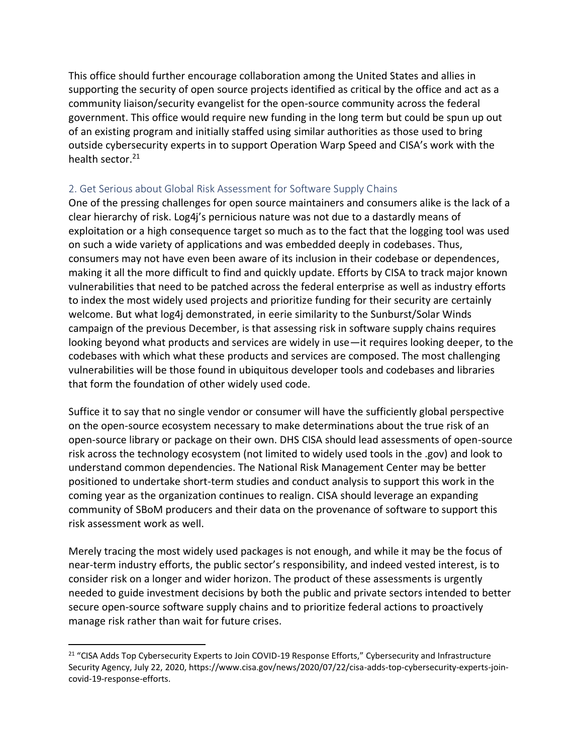This office should further encourage collaboration among the United States and allies in supporting the security of open source projects identified as critical by the office and act as a community liaison/security evangelist for the open-source community across the federal government. This office would require new funding in the long term but could be spun up out of an existing program and initially staffed using similar authorities as those used to bring outside cybersecurity experts in to support Operation Warp Speed and CISA's work with the health sector.<sup>21</sup>

#### 2. Get Serious about Global Risk Assessment for Software Supply Chains

One of the pressing challenges for open source maintainers and consumers alike is the lack of a clear hierarchy of risk. Log4j's pernicious nature was not due to a dastardly means of exploitation or a high consequence target so much as to the fact that the logging tool was used on such a wide variety of applications and was embedded deeply in codebases. Thus, consumers may not have even been aware of its inclusion in their codebase or dependences, making it all the more difficult to find and quickly update. Efforts by CISA to track major known vulnerabilities that need to be patched across the federal enterprise as well as industry efforts to index the most widely used projects and prioritize funding for their security are certainly welcome. But what log4j demonstrated, in eerie similarity to the Sunburst/Solar Winds campaign of the previous December, is that assessing risk in software supply chains requires looking beyond what products and services are widely in use—it requires looking deeper, to the codebases with which what these products and services are composed. The most challenging vulnerabilities will be those found in ubiquitous developer tools and codebases and libraries that form the foundation of other widely used code.

Suffice it to say that no single vendor or consumer will have the sufficiently global perspective on the open-source ecosystem necessary to make determinations about the true risk of an open-source library or package on their own. DHS CISA should lead assessments of open-source risk across the technology ecosystem (not limited to widely used tools in the .gov) and look to understand common dependencies. The National Risk Management Center may be better positioned to undertake short-term studies and conduct analysis to support this work in the coming year as the organization continues to realign. CISA should leverage an expanding community of SBoM producers and their data on the provenance of software to support this risk assessment work as well.

Merely tracing the most widely used packages is not enough, and while it may be the focus of near-term industry efforts, the public sector's responsibility, and indeed vested interest, is to consider risk on a longer and wider horizon. The product of these assessments is urgently needed to guide investment decisions by both the public and private sectors intended to better secure open-source software supply chains and to prioritize federal actions to proactively manage risk rather than wait for future crises.

<sup>&</sup>lt;sup>21</sup> "CISA Adds Top Cybersecurity Experts to Join COVID-19 Response Efforts," Cybersecurity and Infrastructure Security Agency, July 22, 2020, https://www.cisa.gov/news/2020/07/22/cisa-adds-top-cybersecurity-experts-joincovid-19-response-efforts.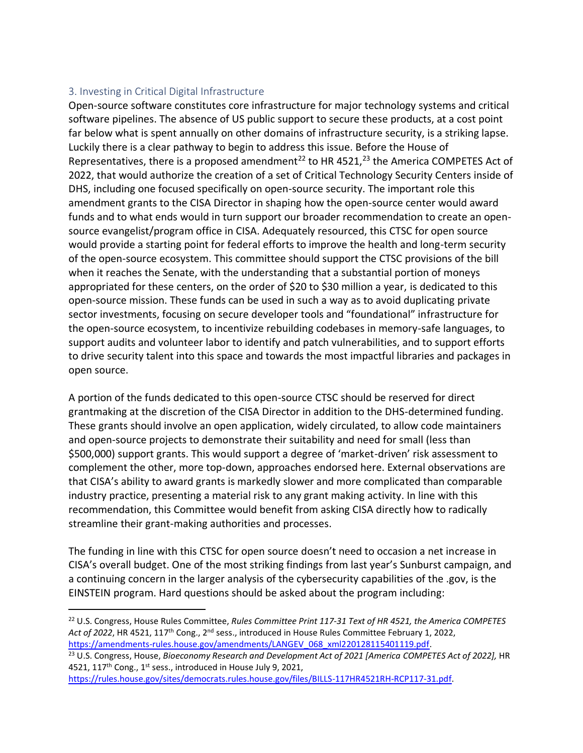## 3. Investing in Critical Digital Infrastructure

Open-source software constitutes core infrastructure for major technology systems and critical software pipelines. The absence of US public support to secure these products, at a cost point far below what is spent annually on other domains of infrastructure security, is a striking lapse. Luckily there is a clear pathway to begin to address this issue. Before the House of Representatives, there is a proposed amendment<sup>22</sup> to HR 4521,<sup>23</sup> the America COMPETES Act of 2022, that would authorize the creation of a set of Critical Technology Security Centers inside of DHS, including one focused specifically on open-source security. The important role this amendment grants to the CISA Director in shaping how the open-source center would award funds and to what ends would in turn support our broader recommendation to create an opensource evangelist/program office in CISA. Adequately resourced, this CTSC for open source would provide a starting point for federal efforts to improve the health and long-term security of the open-source ecosystem. This committee should support the CTSC provisions of the bill when it reaches the Senate, with the understanding that a substantial portion of moneys appropriated for these centers, on the order of \$20 to \$30 million a year, is dedicated to this open-source mission. These funds can be used in such a way as to avoid duplicating private sector investments, focusing on secure developer tools and "foundational" infrastructure for the open-source ecosystem, to incentivize rebuilding codebases in memory-safe languages, to support audits and volunteer labor to identify and patch vulnerabilities, and to support efforts to drive security talent into this space and towards the most impactful libraries and packages in open source.

A portion of the funds dedicated to this open-source CTSC should be reserved for direct grantmaking at the discretion of the CISA Director in addition to the DHS-determined funding. These grants should involve an open application, widely circulated, to allow code maintainers and open-source projects to demonstrate their suitability and need for small (less than \$500,000) support grants. This would support a degree of 'market-driven' risk assessment to complement the other, more top-down, approaches endorsed here. External observations are that CISA's ability to award grants is markedly slower and more complicated than comparable industry practice, presenting a material risk to any grant making activity. In line with this recommendation, this Committee would benefit from asking CISA directly how to radically streamline their grant-making authorities and processes.

The funding in line with this CTSC for open source doesn't need to occasion a net increase in CISA's overall budget. One of the most striking findings from last year's Sunburst campaign, and a continuing concern in the larger analysis of the cybersecurity capabilities of the .gov, is the EINSTEIN program. Hard questions should be asked about the program including:

[https://rules.house.gov/sites/democrats.rules.house.gov/files/BILLS-117HR4521RH-RCP117-31.pdf.](https://rules.house.gov/sites/democrats.rules.house.gov/files/BILLS-117HR4521RH-RCP117-31.pdf)

<sup>22</sup> U.S. Congress, House Rules Committee, *Rules Committee Print 117-31 Text of HR 4521, the America COMPETES*  Act of 2022, HR 4521, 117<sup>th</sup> Cong., 2<sup>nd</sup> sess., introduced in House Rules Committee February 1, 2022, [https://amendments-rules.house.gov/amendments/LANGEV\\_068\\_xml220128115401119.pdf.](https://amendments-rules.house.gov/amendments/LANGEV_068_xml220128115401119.pdf)

<sup>&</sup>lt;sup>23</sup> U.S. Congress, House, *Bioeconomy Research and Development Act of 2021 [America COMPETES Act of 2022]*, HR 4521, 117<sup>th</sup> Cong., 1<sup>st</sup> sess., introduced in House July 9, 2021,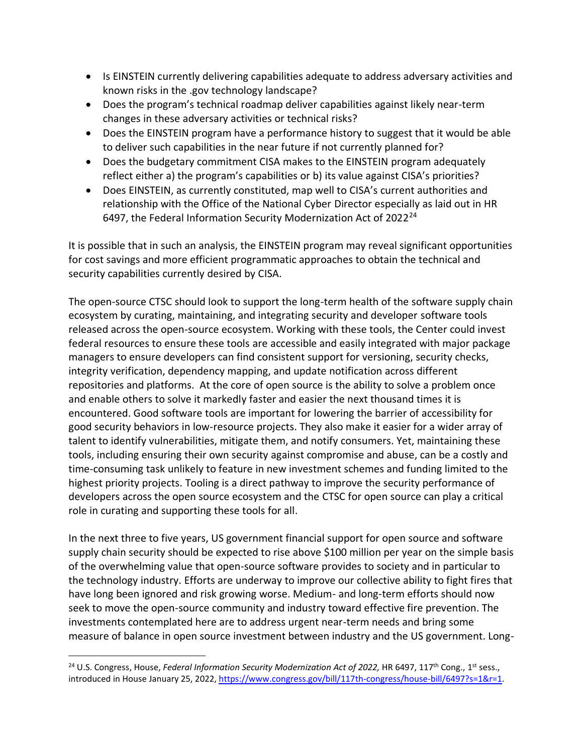- Is EINSTEIN currently delivering capabilities adequate to address adversary activities and known risks in the .gov technology landscape?
- Does the program's technical roadmap deliver capabilities against likely near-term changes in these adversary activities or technical risks?
- Does the EINSTEIN program have a performance history to suggest that it would be able to deliver such capabilities in the near future if not currently planned for?
- Does the budgetary commitment CISA makes to the EINSTEIN program adequately reflect either a) the program's capabilities or b) its value against CISA's priorities?
- Does EINSTEIN, as currently constituted, map well to CISA's current authorities and relationship with the Office of the National Cyber Director especially as laid out in HR 6497, the Federal Information Security Modernization Act of  $2022^{24}$

It is possible that in such an analysis, the EINSTEIN program may reveal significant opportunities for cost savings and more efficient programmatic approaches to obtain the technical and security capabilities currently desired by CISA.

The open-source CTSC should look to support the long-term health of the software supply chain ecosystem by curating, maintaining, and integrating security and developer software tools released across the open-source ecosystem. Working with these tools, the Center could invest federal resources to ensure these tools are accessible and easily integrated with major package managers to ensure developers can find consistent support for versioning, security checks, integrity verification, dependency mapping, and update notification across different repositories and platforms. At the core of open source is the ability to solve a problem once and enable others to solve it markedly faster and easier the next thousand times it is encountered. Good software tools are important for lowering the barrier of accessibility for good security behaviors in low-resource projects. They also make it easier for a wider array of talent to identify vulnerabilities, mitigate them, and notify consumers. Yet, maintaining these tools, including ensuring their own security against compromise and abuse, can be a costly and time-consuming task unlikely to feature in new investment schemes and funding limited to the highest priority projects. Tooling is a direct pathway to improve the security performance of developers across the open source ecosystem and the CTSC for open source can play a critical role in curating and supporting these tools for all.

In the next three to five years, US government financial support for open source and software supply chain security should be expected to rise above \$100 million per year on the simple basis of the overwhelming value that open-source software provides to society and in particular to the technology industry. Efforts are underway to improve our collective ability to fight fires that have long been ignored and risk growing worse. Medium- and long-term efforts should now seek to move the open-source community and industry toward effective fire prevention. The investments contemplated here are to address urgent near-term needs and bring some measure of balance in open source investment between industry and the US government. Long-

<sup>&</sup>lt;sup>24</sup> U.S. Congress, House, *Federal Information Security Modernization Act of 2022*, HR 6497, 117<sup>th</sup> Cong., 1<sup>st</sup> sess., introduced in House January 25, 2022, [https://www.congress.gov/bill/117th-congress/house-bill/6497?s=1&r=1.](https://www.congress.gov/bill/117th-congress/house-bill/6497?s=1&r=1)